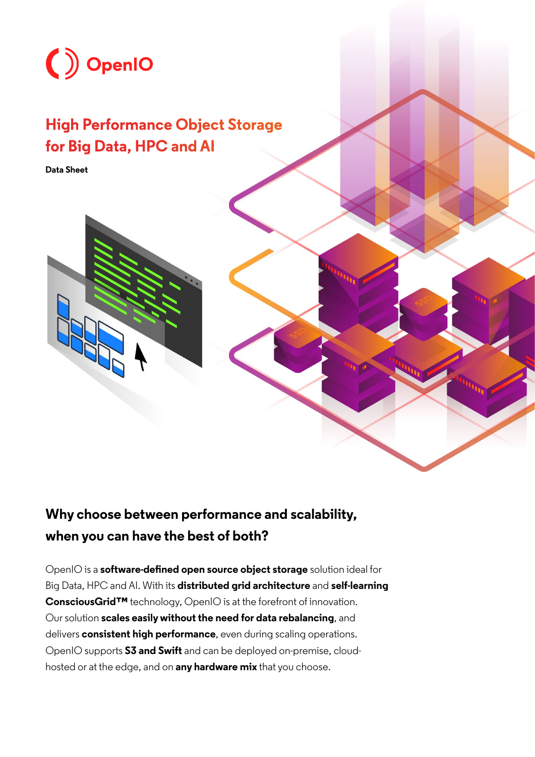

## **High Performance Object Storage for Big Data, HPC and AI**

**Data Sheet** 



## **Why choose between performance and scalability, when you can have the best of both?**

OpenIO is a **software-defined open source object storage** solution ideal for Big Data, HPC and AI. With its **distributed grid architecture** and **self-learning ConsciousGrid™** technology, OpenIO is at the forefront of innovation. Our solution **scales easily without the need for data rebalancing**, and delivers **consistent high performance**, even during scaling operations. OpenIO supports **S3 and Swift** and can be deployed on-premise, cloudhosted or at the edge, and on **any hardware mix** that you choose.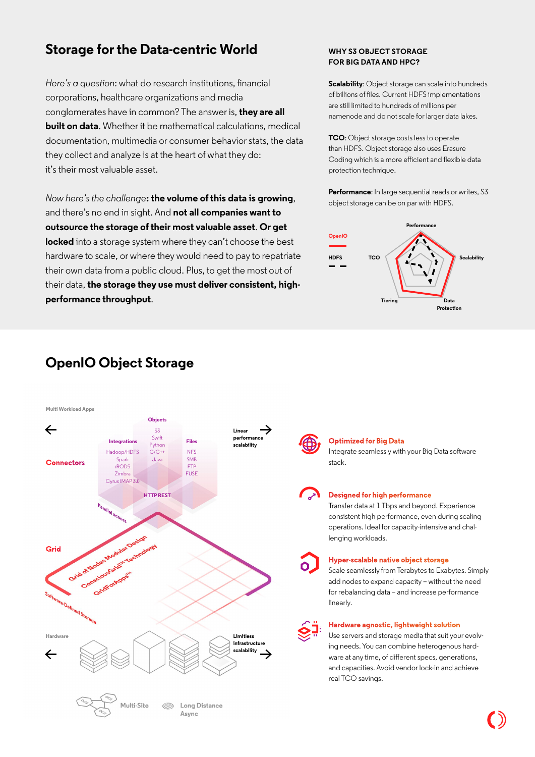## **Storage for the Data-centric World WHY S3 OBJECT STORAGE**

*Here's a question*: what do research institutions, financial corporations, healthcare organizations and media conglomerates have in common? The answer is, **they are all built on data**. Whether it be mathematical calculations, medical documentation, multimedia or consumer behavior stats, the data they collect and analyze is at the heart of what they do: it's their most valuable asset.

*Now here's the challenge***: the volume of this data is growing**, and there's no end in sight. And **not all companies want to outsource the storage of their most valuable asset**. **Or get locked** into a storage system where they can't choose the best hardware to scale, or where they would need to pay to repatriate their own data from a public cloud. Plus, to get the most out of their data, **the storage they use must deliver consistent, highperformance throughput**.

# **FOR BIG DATA AND HPC?**

**Scalability:** Object storage can scale into hundreds of billions of files. Current HDFS implementations are still limited to hundreds of millions per namenode and do not scale for larger data lakes.

**TCO**: Object storage costs less to operate than HDFS. Object storage also uses Erasure Coding which is a more efficient and flexible data protection technique.

**Performance**: In large sequential reads or writes, S3 object storage can be on par with HDFS.



## **OpenIO Object Storage**



### **Optimized for Big Data**

Integrate seamlessly with your Big Data software stack.

### **Designed for high performance**

Transfer data at 1 Tbps and beyond. Experience consistent high performance, even during scaling operations. Ideal for capacity-intensive and challenging workloads.

#### **Hyper-scalable native object storage**

Scale seamlessly from Terabytes to Exabytes. Simply add nodes to expand capacity – without the need for rebalancing data – and increase performance linearly.

#### **Hardware agnostic, lightweight solution**

Use servers and storage media that suit your evolving needs. You can combine heterogenous hardware at any time, of different specs, generations, and capacities. Avoid vendor lock-in and achieve real TCO savings.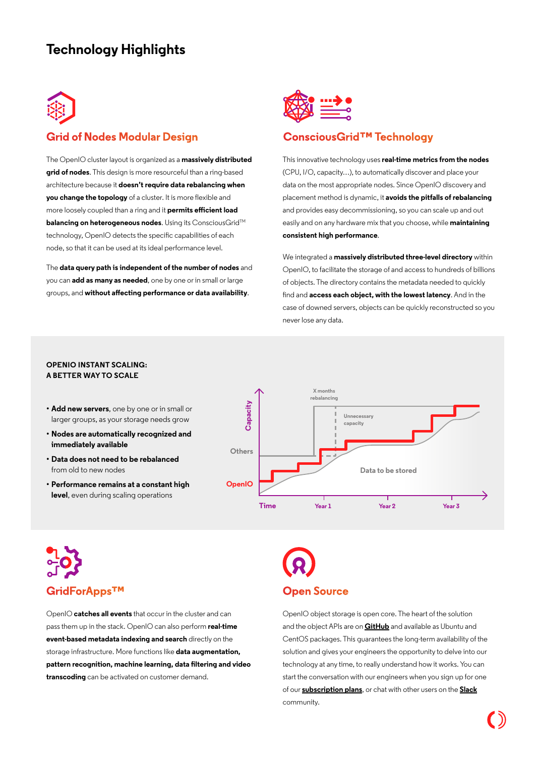## **Technology Highlights**



## **Grid of Nodes Modular Design**

The OpenIO cluster layout is organized as a **massively distributed grid of nodes**. This design is more resourceful than a ring-based architecture because it **doesn't require data rebalancing when you change the topology** of a cluster. It is more flexible and more loosely coupled than a ring and it **permits efficient load balancing on heterogeneous nodes.** Using its ConsciousGrid™ technology, OpenIO detects the specific capabilities of each node, so that it can be used at its ideal performance level.

The **data query path is independent of the number of nodes** and you can **add as many as needed**, one by one or in small or large groups, and **without affecting performance or data availability**.



## **ConsciousGrid™ Technology**

This innovative technology uses **real-time metrics from the nodes** (CPU, I/O, capacity…), to automatically discover and place your data on the most appropriate nodes. Since OpenIO discovery and placement method is dynamic, it **avoids the pitfalls of rebalancing** and provides easy decommissioning, so you can scale up and out easily and on any hardware mix that you choose, while **maintaining consistent high performance**.

We integrated a **massively distributed three-level directory** within OpenIO, to facilitate the storage of and access to hundreds of billions of objects. The directory contains the metadata needed to quickly find and **access each object, with the lowest latency**. And in the case of downed servers, objects can be quickly reconstructed so you never lose any data.

#### **OPENIO INSTANT SCALING: A BETTER WAY TO SCALE**

- **• Add new servers**, one by one or in small or larger groups, as your storage needs grow
- **• Nodes are automatically recognized and immediately available**
- **• Data does not need to be rebalanced** from old to new nodes
- **• Performance remains at a constant high level**, even during scaling operations



# **GridForApps™ Open Source**

OpenIO **catches all events** that occur in the cluster and can pass them up in the stack. OpenIO can also perform **real-time event-based metadata indexing and search** directly on the storage infrastructure. More functions like **data augmentation, pattern recognition, machine learning, data filtering and video transcoding** can be activated on customer demand.

OpenIO object storage is open core. The heart of the solution and the object APIs are on **[GitHub](https://github.com/open-io)** and available as Ubuntu and CentOS packages. This guarantees the long-term availability of the solution and gives your engineers the opportunity to delve into our technology at any time, to really understand how it works. You can start the conversation with our engineers when you sign up for one of our **[subscription plans](https://www.openio.io/plans)**, or chat with other users on the **[Slack](https://slack.openio.io/)** community.